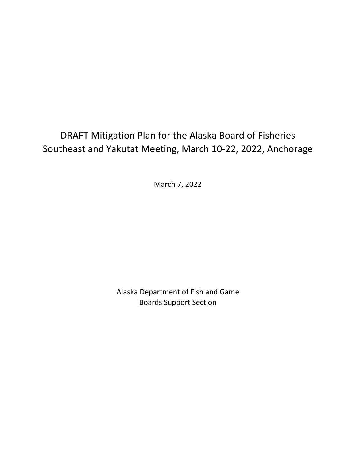# DRAFT Mitigation Plan for the Alaska Board of Fisheries Southeast and Yakutat Meeting, March 10-22, 2022, Anchorage

March 7, 2022

Alaska Department of Fish and Game Boards Support Section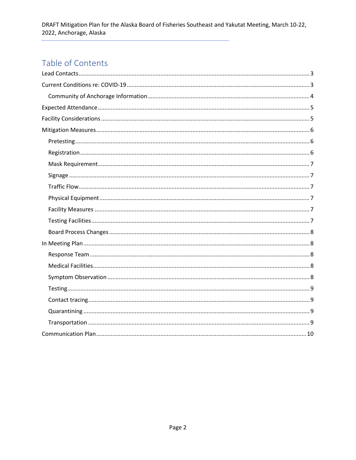## Table of Contents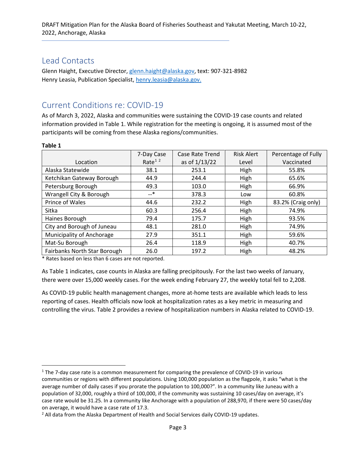### <span id="page-2-0"></span>Lead Contacts

Glenn Haight, Executive Director[, glenn.haight@alaska.gov,](mailto:glenn.haight@alaska.gov) text: 907-321-8982 Henry Leasia, Publication Specialist[, henry.leasia@alaska.gov.](mailto:henry.leasia@alaska.gov)

## <span id="page-2-1"></span>Current Conditions re: COVID-19

As of March 3, 2022, Alaska and communities were sustaining the COVID-19 case counts and related information provided in Table 1. While registration for the meeting is ongoing, it is assumed most of the participants will be coming from these Alaska regions/communities.

|  |  | ۰0<br>л |  |  |
|--|--|---------|--|--|
|--|--|---------|--|--|

|                              | 7-Day Case | Case Rate Trend | <b>Risk Alert</b> | Percentage of Fully |
|------------------------------|------------|-----------------|-------------------|---------------------|
| Location                     | Rate $12$  | as of 1/13/22   | Level             | Vaccinated          |
| Alaska Statewide             | 38.1       | 253.1           | High              | 55.8%               |
| Ketchikan Gateway Borough    | 44.9       | 244.4           | High              | 65.6%               |
| Petersburg Borough           | 49.3       | 103.0           | High              | 66.9%               |
| Wrangell City & Borough      | $-$ *      | 378.3           | Low               | 60.8%               |
| Prince of Wales              | 44.6       | 232.2           | High              | 83.2% (Craig only)  |
| Sitka                        | 60.3       | 256.4           | High              | 74.9%               |
| Haines Borough               | 79.4       | 175.7           | High              | 93.5%               |
| City and Borough of Juneau   | 48.1       | 281.0           | High              | 74.9%               |
| Municipality of Anchorage    | 27.9       | 351.1           | High              | 59.6%               |
| Mat-Su Borough               | 26.4       | 118.9           | High              | 40.7%               |
| Fairbanks North Star Borough | 26.0       | 197.2           | High              | 48.2%               |

\* Rates based on less than 6 cases are not reported.

As Table 1 indicates, case counts in Alaska are falling precipitously. For the last two weeks of January, there were over 15,000 weekly cases. For the week ending February 27, the weekly total fell to 2,208.

As COVID-19 public health management changes, more at-home tests are available which leads to less reporting of cases. Health officials now look at hospitalization rates as a key metric in measuring and controlling the virus. Table 2 provides a review of hospitalization numbers in Alaska related to COVID-19.

<span id="page-2-2"></span> $1$  The 7-day case rate is a common measurement for comparing the prevalence of COVID-19 in various communities or regions with different populations. Using 100,000 population as the flagpole, it asks "what is the average number of daily cases if you prorate the population to 100,000?". In a community like Juneau with a population of 32,000, roughly a third of 100,000, if the community was sustaining 10 cases/day on average, it's case rate would be 31.25. In a community like Anchorage with a population of 288,970, if there were 50 cases/day

<span id="page-2-3"></span>on average, it would have a case rate of 17.3.<br><sup>2</sup> All data from the Alaska Department of Health and Social Services daily COVID-19 updates.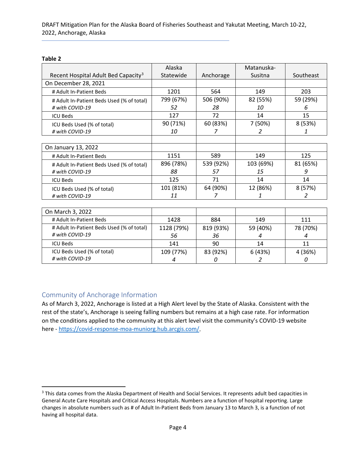#### **Table 2**

|                                                 | Alaska     |           | Matanuska- |           |
|-------------------------------------------------|------------|-----------|------------|-----------|
| Recent Hospital Adult Bed Capacity <sup>3</sup> | Statewide  | Anchorage | Susitna    | Southeast |
| On December 28, 2021                            |            |           |            |           |
| # Adult In-Patient Beds                         | 1201       | 564       | 149        | 203       |
| # Adult In-Patient Beds Used (% of total)       | 799 (67%)  | 506 (90%) | 82 (55%)   | 59 (29%)  |
| # with COVID-19                                 | 52         | 28        | 10         | 6         |
| <b>ICU Beds</b>                                 | 127        | 72        | 14         | 15        |
| ICU Beds Used (% of total)                      | 90 (71%)   | 60 (83%)  | 7 (50%)    | 8(53%)    |
| # with COVID-19                                 | 10         | 7         | 2          | 1         |
|                                                 |            |           |            |           |
| On January 13, 2022                             |            |           |            |           |
| # Adult In-Patient Beds                         | 1151       | 589       | 149        | 125       |
| # Adult In-Patient Beds Used (% of total)       | 896 (78%)  | 539 (92%) | 103 (69%)  | 81 (65%)  |
| # with COVID-19                                 | 88         | 57        | 15         | 9         |
| <b>ICU Beds</b>                                 | 125        | 71        | 14         | 14        |
| ICU Beds Used (% of total)                      | 101 (81%)  | 64 (90%)  | 12 (86%)   | 8 (57%)   |
| # with COVID-19                                 | 11         | 7         | 1          | 2         |
|                                                 |            |           |            |           |
| On March 3, 2022                                |            |           |            |           |
| # Adult In-Patient Beds                         | 1428       | 884       | 149        | 111       |
| # Adult In-Patient Beds Used (% of total)       | 1128 (79%) | 819 (93%) | 59 (40%)   | 78 (70%)  |
| # with COVID-19                                 | 56         | 36        | 4          | 4         |
| <b>ICU Beds</b>                                 | 141        | 90        | 14         | 11        |
| ICU Beds Used (% of total)                      | 109 (77%)  | 83 (92%)  | 6 (43%)    | 4 (36%)   |
| # with COVID-19                                 | 4          | 0         | 2          | 0         |

### <span id="page-3-0"></span>Community of Anchorage Information

As of March 3, 2022, Anchorage is listed at a High Alert level by the State of Alaska. Consistent with the rest of the state's, Anchorage is seeing falling numbers but remains at a high case rate. For information on the conditions applied to the community at this alert level visit the community's COVID-19 website here - [https://covid-response-moa-muniorg.hub.arcgis.com/.](https://covid-response-moa-muniorg.hub.arcgis.com/)

<span id="page-3-1"></span><sup>&</sup>lt;sup>3</sup> This data comes from the Alaska Department of Health and Social Services. It represents adult bed capacities in General Acute Care Hospitals and Critical Access Hospitals. Numbers are a function of hospital reporting. Large changes in absolute numbers such as # of Adult In-Patient Beds from January 13 to March 3, is a function of not having all hospital data.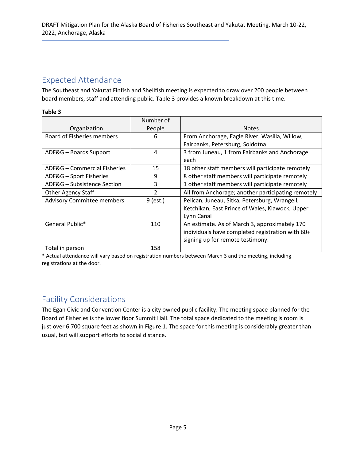## <span id="page-4-0"></span>Expected Attendance

The Southeast and Yakutat Finfish and Shellfish meeting is expected to draw over 200 people between board members, staff and attending public. Table 3 provides a known breakdown at this time.

#### **Table 3**

|                                   | Number of      |                                                    |
|-----------------------------------|----------------|----------------------------------------------------|
| Organization                      | People         | <b>Notes</b>                                       |
| Board of Fisheries members        | 6              | From Anchorage, Eagle River, Wasilla, Willow,      |
|                                   |                | Fairbanks, Petersburg, Soldotna                    |
| ADF&G - Boards Support            | 4              | 3 from Juneau, 1 from Fairbanks and Anchorage      |
|                                   |                | each                                               |
| ADF&G - Commercial Fisheries      | 15             | 18 other staff members will participate remotely   |
| ADF&G - Sport Fisheries           | 9              | 8 other staff members will participate remotely    |
| ADF&G - Subsistence Section       | 3              | 1 other staff members will participate remotely    |
| <b>Other Agency Staff</b>         | $\mathfrak{p}$ | All from Anchorage; another participating remotely |
| <b>Advisory Committee members</b> | $9$ (est.)     | Pelican, Juneau, Sitka, Petersburg, Wrangell,      |
|                                   |                | Ketchikan, East Prince of Wales, Klawock, Upper    |
|                                   |                | Lynn Canal                                         |
| General Public*                   | 110            | An estimate. As of March 3, approximately 170      |
|                                   |                | individuals have completed registration with 60+   |
|                                   |                | signing up for remote testimony.                   |
| Total in person                   | 158            |                                                    |

\* Actual attendance will vary based on registration numbers between March 3 and the meeting, including registrations at the door.

## <span id="page-4-1"></span>Facility Considerations

The Egan Civic and Convention Center is a city owned public facility. The meeting space planned for the Board of Fisheries is the lower floor Summit Hall. The total space dedicated to the meeting is room is just over 6,700 square feet as shown in Figure 1. The space for this meeting is considerably greater than usual, but will support efforts to social distance.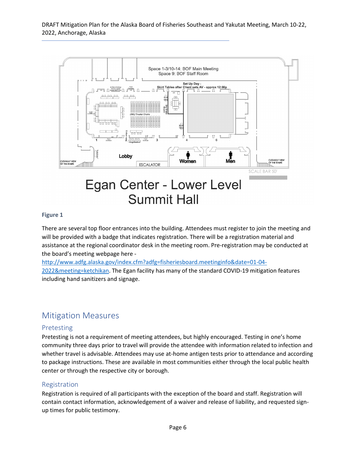

#### **Figure 1**

There are several top floor entrances into the building. Attendees must register to join the meeting and will be provided with a badge that indicates registration. There will be a registration material and assistance at the regional coordinator desk in the meeting room. Pre-registration may be conducted at the board's meeting webpage here -

[http://www.adfg.alaska.gov/index.cfm?adfg=fisheriesboard.meetinginfo&date=01-04-](http://www.adfg.alaska.gov/index.cfm?adfg=fisheriesboard.meetinginfo&date=01-04-2022&meeting=ketchikan) [2022&meeting=ketchikan.](http://www.adfg.alaska.gov/index.cfm?adfg=fisheriesboard.meetinginfo&date=01-04-2022&meeting=ketchikan) The Egan facility has many of the standard COVID-19 mitigation features

including hand sanitizers and signage.

## <span id="page-5-0"></span>Mitigation Measures

### <span id="page-5-1"></span>Pretesting

Pretesting is not a requirement of meeting attendees, but highly encouraged. Testing in one's home community three days prior to travel will provide the attendee with information related to infection and whether travel is advisable. Attendees may use at-home antigen tests prior to attendance and according to package instructions. These are available in most communities either through the local public health center or through the respective city or borough.

#### <span id="page-5-2"></span>Registration

Registration is required of all participants with the exception of the board and staff. Registration will contain contact information, acknowledgement of a waiver and release of liability, and requested signup times for public testimony.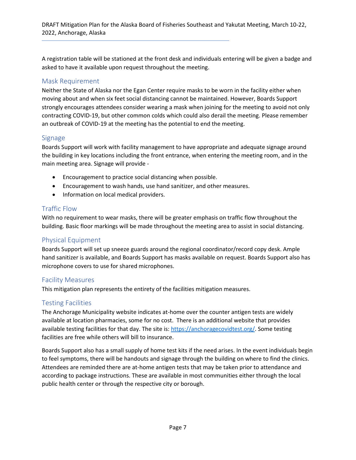A registration table will be stationed at the front desk and individuals entering will be given a badge and asked to have it available upon request throughout the meeting.

### <span id="page-6-0"></span>Mask Requirement

Neither the State of Alaska nor the Egan Center require masks to be worn in the facility either when moving about and when six feet social distancing cannot be maintained. However, Boards Support strongly encourages attendees consider wearing a mask when joining for the meeting to avoid not only contracting COVID-19, but other common colds which could also derail the meeting. Please remember an outbreak of COVID-19 at the meeting has the potential to end the meeting.

### <span id="page-6-1"></span>Signage

Boards Support will work with facility management to have appropriate and adequate signage around the building in key locations including the front entrance, when entering the meeting room, and in the main meeting area. Signage will provide -

- Encouragement to practice social distancing when possible.
- Encouragement to wash hands, use hand sanitizer, and other measures.
- Information on local medical providers.

### <span id="page-6-2"></span>Traffic Flow

With no requirement to wear masks, there will be greater emphasis on traffic flow throughout the building. Basic floor markings will be made throughout the meeting area to assist in social distancing.

### <span id="page-6-3"></span>Physical Equipment

Boards Support will set up sneeze guards around the regional coordinator/record copy desk. Ample hand sanitizer is available, and Boards Support has masks available on request. Boards Support also has microphone covers to use for shared microphones.

### <span id="page-6-4"></span>Facility Measures

This mitigation plan represents the entirety of the facilities mitigation measures.

### <span id="page-6-5"></span>Testing Facilities

The Anchorage Municipality website indicates at-home over the counter antigen tests are widely available at location pharmacies, some for no cost. There is an additional website that provides available testing facilities for that day. The site is: [https://anchoragecovidtest.org/.](https://anchoragecovidtest.org/) Some testing facilities are free while others will bill to insurance.

Boards Support also has a small supply of home test kits if the need arises. In the event individuals begin to feel symptoms, there will be handouts and signage through the building on where to find the clinics. Attendees are reminded there are at-home antigen tests that may be taken prior to attendance and according to package instructions. These are available in most communities either through the local public health center or through the respective city or borough.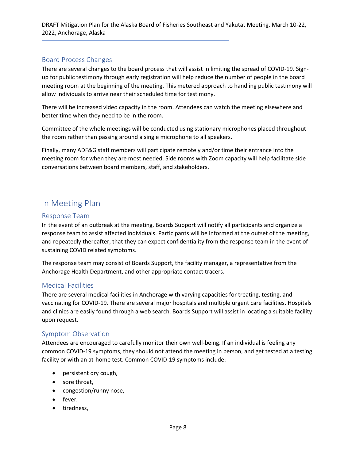DRAFT Mitigation Plan for the Alaska Board of Fisheries Southeast and Yakutat Meeting, March 10-22, 2022, Anchorage, Alaska

### <span id="page-7-0"></span>Board Process Changes

There are several changes to the board process that will assist in limiting the spread of COVID-19. Signup for public testimony through early registration will help reduce the number of people in the board meeting room at the beginning of the meeting. This metered approach to handling public testimony will allow individuals to arrive near their scheduled time for testimony.

There will be increased video capacity in the room. Attendees can watch the meeting elsewhere and better time when they need to be in the room.

Committee of the whole meetings will be conducted using stationary microphones placed throughout the room rather than passing around a single microphone to all speakers.

Finally, many ADF&G staff members will participate remotely and/or time their entrance into the meeting room for when they are most needed. Side rooms with Zoom capacity will help facilitate side conversations between board members, staff, and stakeholders.

## <span id="page-7-1"></span>In Meeting Plan

#### <span id="page-7-2"></span>Response Team

In the event of an outbreak at the meeting, Boards Support will notify all participants and organize a response team to assist affected individuals. Participants will be informed at the outset of the meeting, and repeatedly thereafter, that they can expect confidentiality from the response team in the event of sustaining COVID related symptoms.

The response team may consist of Boards Support, the facility manager, a representative from the Anchorage Health Department, and other appropriate contact tracers.

#### <span id="page-7-3"></span>Medical Facilities

There are several medical facilities in Anchorage with varying capacities for treating, testing, and vaccinating for COVID-19. There are several major hospitals and multiple urgent care facilities. Hospitals and clinics are easily found through a web search. Boards Support will assist in locating a suitable facility upon request.

### <span id="page-7-4"></span>Symptom Observation

Attendees are encouraged to carefully monitor their own well-being. If an individual is feeling any common COVID-19 symptoms, they should not attend the meeting in person, and get tested at a testing facility or with an at-home test. Common COVID-19 symptoms include:

- persistent dry cough,
- sore throat,
- congestion/runny nose,
- fever,
- tiredness,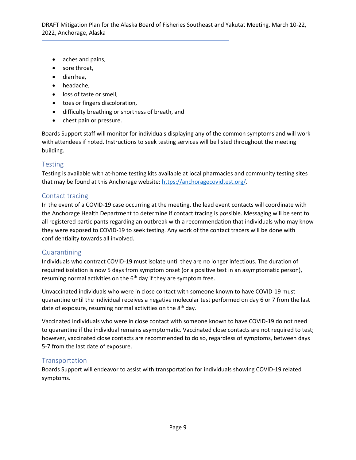- aches and pains,
- sore throat,
- diarrhea,
- headache,
- loss of taste or smell,
- toes or fingers discoloration,
- difficulty breathing or shortness of breath, and
- chest pain or pressure.

Boards Support staff will monitor for individuals displaying any of the common symptoms and will work with attendees if noted. Instructions to seek testing services will be listed throughout the meeting building.

### <span id="page-8-0"></span>Testing

Testing is available with at-home testing kits available at local pharmacies and community testing sites that may be found at this Anchorage website[: https://anchoragecovidtest.org/.](https://anchoragecovidtest.org/)

### <span id="page-8-1"></span>Contact tracing

In the event of a COVID-19 case occurring at the meeting, the lead event contacts will coordinate with the Anchorage Health Department to determine if contact tracing is possible. Messaging will be sent to all registered participants regarding an outbreak with a recommendation that individuals who may know they were exposed to COVID-19 to seek testing. Any work of the contact tracers will be done with confidentiality towards all involved.

#### <span id="page-8-2"></span>Quarantining

Individuals who contract COVID-19 must isolate until they are no longer infectious. The duration of required isolation is now 5 days from symptom onset (or a positive test in an asymptomatic person), resuming normal activities on the  $6<sup>th</sup>$  day if they are symptom free.

Unvaccinated individuals who were in close contact with someone known to have COVID-19 must quarantine until the individual receives a negative molecular test performed on day 6 or 7 from the last date of exposure, resuming normal activities on the  $8<sup>th</sup>$  day.

Vaccinated individuals who were in close contact with someone known to have COVID-19 do not need to quarantine if the individual remains asymptomatic. Vaccinated close contacts are not required to test; however, vaccinated close contacts are recommended to do so, regardless of symptoms, between days 5-7 from the last date of exposure.

### <span id="page-8-3"></span>Transportation

Boards Support will endeavor to assist with transportation for individuals showing COVID-19 related symptoms.